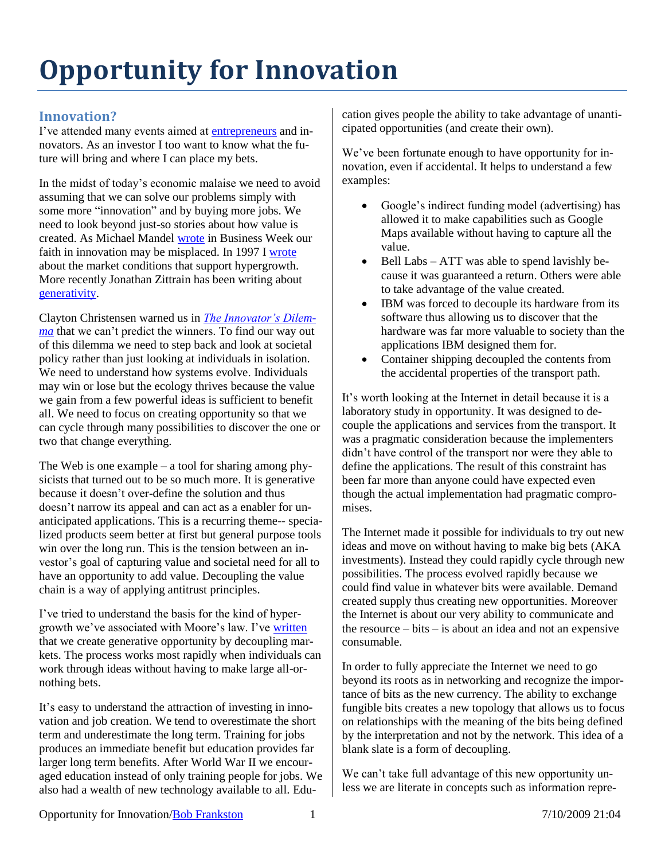# **Opportunity for Innovation**

## **Innovation?**

I've attended many events aimed at [entrepreneurs](http://blogs.harvardbusiness.org/cs/2009/06/are_you_an_inventor_or_an_entrepreneur.html) and innovators. As an investor I too want to know what the future will bring and where I can place my bets.

In the midst of today's economic malaise we need to avoid assuming that we can solve our problems simply with some more "innovation" and by buying more jobs. We need to look beyond just-so stories about how value is created. As Michael Mandel [wrote](http://www.businessweek.com/magazine/content/09_24/b4135000953288.htm) in Business Week our faith in innovation may be misplaced. In 1997 I [wrote](http://frankston.com/?Name=BeyondLimits) about the market conditions that support hypergrowth. More recently Jonathan Zittrain has been writing about [generativity.](http://yupnet.org/zittrain)

Clayton Christensen warned us in *[The Innovator's Dilem](http://www.amazon.com/exec/obidos/asin/0060521996/BobFrankston)[ma](http://www.amazon.com/exec/obidos/asin/0060521996/BobFrankston)* that we can't predict the winners. To find our way out of this dilemma we need to step back and look at societal policy rather than just looking at individuals in isolation. We need to understand how systems evolve. Individuals may win or lose but the ecology thrives because the value we gain from a few powerful ideas is sufficient to benefit all. We need to focus on creating opportunity so that we can cycle through many possibilities to discover the one or two that change everything.

The Web is one example – a tool for sharing among physicists that turned out to be so much more. It is generative because it doesn't over-define the solution and thus doesn't narrow its appeal and can act as a enabler for unanticipated applications. This is a recurring theme-- specialized products seem better at first but general purpose tools win over the long run. This is the tension between an investor's goal of capturing value and societal need for all to have an opportunity to add value. Decoupling the value chain is a way of applying antitrust principles.

I've tried to understand the basis for the kind of hypergrowth we've associated with Moore's law. I've [written](http://frankston.com/?name=BeyondLimits) that we create generative opportunity by decoupling markets. The process works most rapidly when individuals can work through ideas without having to make large all-ornothing bets.

It's easy to understand the attraction of investing in innovation and job creation. We tend to overestimate the short term and underestimate the long term. Training for jobs produces an immediate benefit but education provides far larger long term benefits. After World War II we encouraged education instead of only training people for jobs. We also had a wealth of new technology available to all. Education gives people the ability to take advantage of unanticipated opportunities (and create their own).

We've been fortunate enough to have opportunity for innovation, even if accidental. It helps to understand a few examples:

- Google's indirect funding model (advertising) has allowed it to make capabilities such as Google Maps available without having to capture all the value.
- Bell Labs ATT was able to spend lavishly because it was guaranteed a return. Others were able to take advantage of the value created.
- IBM was forced to decouple its hardware from its software thus allowing us to discover that the hardware was far more valuable to society than the applications IBM designed them for.
- Container shipping decoupled the contents from the accidental properties of the transport path.

It's worth looking at the Internet in detail because it is a laboratory study in opportunity. It was designed to decouple the applications and services from the transport. It was a pragmatic consideration because the implementers didn't have control of the transport nor were they able to define the applications. The result of this constraint has been far more than anyone could have expected even though the actual implementation had pragmatic compromises.

The Internet made it possible for individuals to try out new ideas and move on without having to make big bets (AKA investments). Instead they could rapidly cycle through new possibilities. The process evolved rapidly because we could find value in whatever bits were available. Demand created supply thus creating new opportunities. Moreover the Internet is about our very ability to communicate and the resource – bits – is about an idea and not an expensive consumable.

In order to fully appreciate the Internet we need to go beyond its roots as in networking and recognize the importance of bits as the new currency. The ability to exchange fungible bits creates a new topology that allows us to focus on relationships with the meaning of the bits being defined by the interpretation and not by the network. This idea of a blank slate is a form of decoupling.

We can't take full advantage of this new opportunity unless we are literate in concepts such as information repre-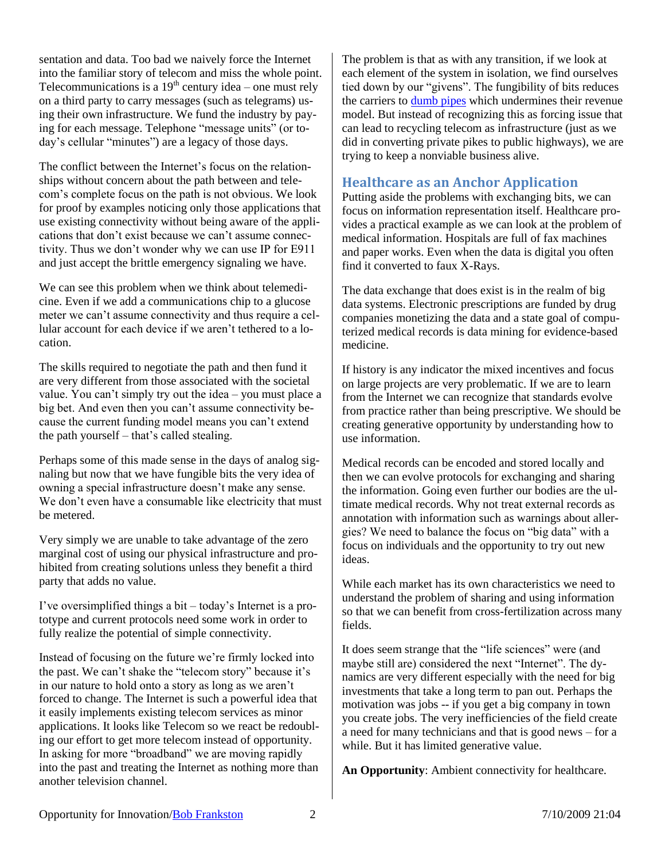sentation and data. Too bad we naively force the Internet into the familiar story of telecom and miss the whole point. Telecommunications is a  $19<sup>th</sup>$  century idea – one must rely on a third party to carry messages (such as telegrams) using their own infrastructure. We fund the industry by paying for each message. Telephone "message units" (or today's cellular "minutes") are a legacy of those days.

The conflict between the Internet's focus on the relationships without concern about the path between and telecom's complete focus on the path is not obvious. We look for proof by examples noticing only those applications that use existing connectivity without being aware of the applications that don't exist because we can't assume connectivity. Thus we don't wonder why we can use IP for E911 and just accept the brittle emergency signaling we have.

We can see this problem when we think about telemedicine. Even if we add a communications chip to a glucose meter we can't assume connectivity and thus require a cellular account for each device if we aren't tethered to a location.

The skills required to negotiate the path and then fund it are very different from those associated with the societal value. You can't simply try out the idea – you must place a big bet. And even then you can't assume connectivity because the current funding model means you can't extend the path yourself – that's called stealing.

Perhaps some of this made sense in the days of analog signaling but now that we have fungible bits the very idea of owning a special infrastructure doesn't make any sense. We don't even have a consumable like electricity that must be metered.

Very simply we are unable to take advantage of the zero marginal cost of using our physical infrastructure and prohibited from creating solutions unless they benefit a third party that adds no value.

I've oversimplified things a bit – today's Internet is a prototype and current protocols need some work in order to fully realize the potential of simple connectivity.

Instead of focusing on the future we're firmly locked into the past. We can't shake the "telecom story" because it's in our nature to hold onto a story as long as we aren't forced to change. The Internet is such a powerful idea that it easily implements existing telecom services as minor applications. It looks like Telecom so we react be redoubling our effort to get more telecom instead of opportunity. In asking for more "broadband" we are moving rapidly into the past and treating the Internet as nothing more than another television channel.

The problem is that as with any transition, if we look at each element of the system in isolation, we find ourselves tied down by our "givens". The fungibility of bits reduces the carriers to [dumb pipes](http://frankston.com/?name=DumbPipes&pdt=t) which undermines their revenue model. But instead of recognizing this as forcing issue that can lead to recycling telecom as infrastructure (just as we did in converting private pikes to public highways), we are trying to keep a nonviable business alive.

#### **Healthcare as an Anchor Application**

Putting aside the problems with exchanging bits, we can focus on information representation itself. Healthcare provides a practical example as we can look at the problem of medical information. Hospitals are full of fax machines and paper works. Even when the data is digital you often find it converted to faux X-Rays.

The data exchange that does exist is in the realm of big data systems. Electronic prescriptions are funded by drug companies monetizing the data and a state goal of computerized medical records is data mining for evidence-based medicine.

If history is any indicator the mixed incentives and focus on large projects are very problematic. If we are to learn from the Internet we can recognize that standards evolve from practice rather than being prescriptive. We should be creating generative opportunity by understanding how to use information.

Medical records can be encoded and stored locally and then we can evolve protocols for exchanging and sharing the information. Going even further our bodies are the ultimate medical records. Why not treat external records as annotation with information such as warnings about allergies? We need to balance the focus on "big data" with a focus on individuals and the opportunity to try out new ideas.

While each market has its own characteristics we need to understand the problem of sharing and using information so that we can benefit from cross-fertilization across many fields.

It does seem strange that the "life sciences" were (and maybe still are) considered the next "Internet". The dynamics are very different especially with the need for big investments that take a long term to pan out. Perhaps the motivation was jobs -- if you get a big company in town you create jobs. The very inefficiencies of the field create a need for many technicians and that is good news – for a while. But it has limited generative value.

**An Opportunity**: Ambient connectivity for healthcare.